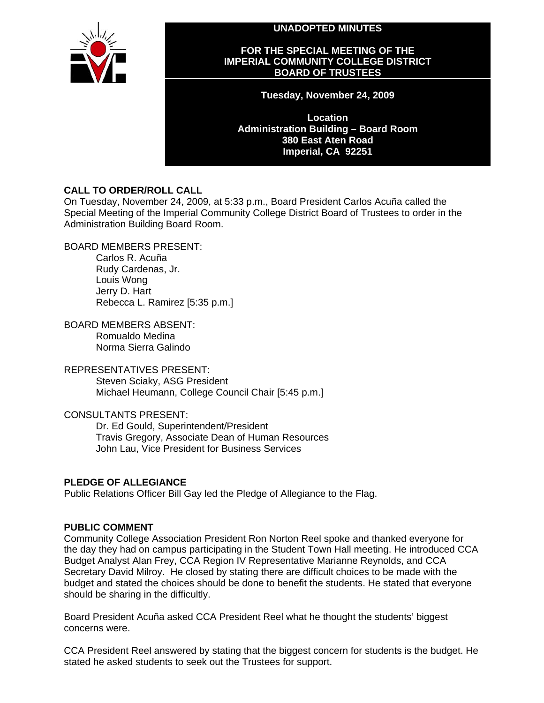**UNADOPTED MINUTES** 



#### **FOR THE SPECIAL MEETING OF THE IMPERIAL COMMUNITY COLLEGE DISTRICT BOARD OF TRUSTEES**

**Tuesday, November 24, 2009** 

**Location Administration Building – Board Room 380 East Aten Road Imperial, CA 92251** 

# **CALL TO ORDER/ROLL CALL**

On Tuesday, November 24, 2009, at 5:33 p.m., Board President Carlos Acuña called the Special Meeting of the Imperial Community College District Board of Trustees to order in the Administration Building Board Room.

# BOARD MEMBERS PRESENT:

Carlos R. Acuña Rudy Cardenas, Jr. Louis Wong Jerry D. Hart Rebecca L. Ramirez [5:35 p.m.]

BOARD MEMBERS ABSENT:

Romualdo Medina Norma Sierra Galindo

### REPRESENTATIVES PRESENT:

Steven Sciaky, ASG President Michael Heumann, College Council Chair [5:45 p.m.]

### CONSULTANTS PRESENT:

Dr. Ed Gould, Superintendent/President Travis Gregory, Associate Dean of Human Resources John Lau, Vice President for Business Services

### **PLEDGE OF ALLEGIANCE**

Public Relations Officer Bill Gay led the Pledge of Allegiance to the Flag.

# **PUBLIC COMMENT**

Community College Association President Ron Norton Reel spoke and thanked everyone for the day they had on campus participating in the Student Town Hall meeting. He introduced CCA Budget Analyst Alan Frey, CCA Region IV Representative Marianne Reynolds, and CCA Secretary David Milroy. He closed by stating there are difficult choices to be made with the budget and stated the choices should be done to benefit the students. He stated that everyone should be sharing in the difficultly.

Board President Acuña asked CCA President Reel what he thought the students' biggest concerns were.

CCA President Reel answered by stating that the biggest concern for students is the budget. He stated he asked students to seek out the Trustees for support.